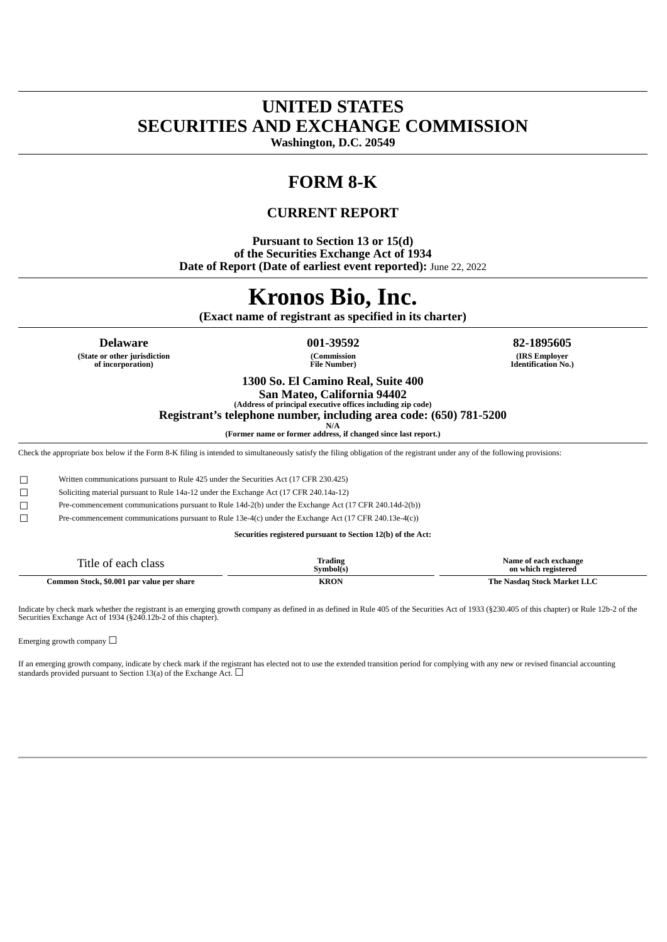# **UNITED STATES SECURITIES AND EXCHANGE COMMISSION**

**Washington, D.C. 20549**

# **FORM 8-K**

## **CURRENT REPORT**

**Pursuant to Section 13 or 15(d) of the Securities Exchange Act of 1934 Date of Report (Date of earliest event reported):** June 22, 2022

# **Kronos Bio, Inc.**

**(Exact name of registrant as specified in its charter)**

**Delaware 001-39592 82-1895605**

**(State or other jurisdiction of incorporation)**

**(Commission File Number)**

**(IRS Employer Identification No.)**

**1300 So. El Camino Real, Suite 400**

**San Mateo, California 94402 (Address of principal executive offices including zip code)**

**Registrant's telephone number, including area code: (650) 781-5200**

**N/A (Former name or former address, if changed since last report.)**

Check the appropriate box below if the Form 8-K filing is intended to simultaneously satisfy the filing obligation of the registrant under any of the following provisions:

☐ Written communications pursuant to Rule 425 under the Securities Act (17 CFR 230.425)

☐ Soliciting material pursuant to Rule 14a-12 under the Exchange Act (17 CFR 240.14a-12)

☐ Pre-commencement communications pursuant to Rule 14d-2(b) under the Exchange Act (17 CFR 240.14d-2(b))

☐ Pre-commencement communications pursuant to Rule 13e-4(c) under the Exchange Act (17 CFR 240.13e-4(c))

**Securities registered pursuant to Section 12(b) of the Act:**

| --<br>. itle<br>class<br>∩רמ<br>വ<br>rаı  | m<br>Trading<br><b>Symbol</b> (s) | Name<br>e ot each exchange<br>on which registered |
|-------------------------------------------|-----------------------------------|---------------------------------------------------|
| Common Stock, \$0.001 par value per share | KRON                              | The<br>-Stock Market LLC<br>Nasdag                |

Indicate by check mark whether the registrant is an emerging growth company as defined in as defined in Rule 405 of the Securities Act of 1933 (§230.405 of this chapter) or Rule 12b-2 of the Securities Exchange Act of 1934 (§240.12b-2 of this chapter).

Emerging growth company  $\Box$ 

If an emerging growth company, indicate by check mark if the registrant has elected not to use the extended transition period for complying with any new or revised financial accounting standards provided pursuant to Section 13(a) of the Exchange Act.  $\Box$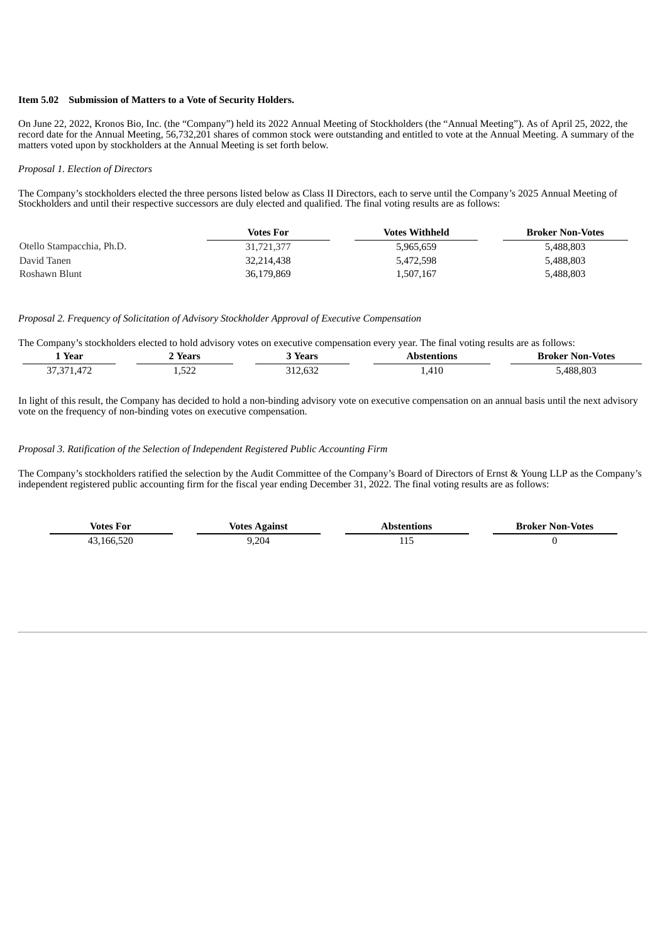#### **Item 5.02 Submission of Matters to a Vote of Security Holders.**

On June 22, 2022, Kronos Bio, Inc. (the "Company") held its 2022 Annual Meeting of Stockholders (the "Annual Meeting"). As of April 25, 2022, the record date for the Annual Meeting, 56,732,201 shares of common stock were outstanding and entitled to vote at the Annual Meeting. A summary of the matters voted upon by stockholders at the Annual Meeting is set forth below.

#### *Proposal 1. Election of Directors*

The Company's stockholders elected the three persons listed below as Class II Directors, each to serve until the Company's 2025 Annual Meeting of Stockholders and until their respective successors are duly elected and qualified. The final voting results are as follows:

|                           | Votes For  | <b>Votes Withheld</b> | <b>Broker Non-Votes</b> |
|---------------------------|------------|-----------------------|-------------------------|
| Otello Stampacchia, Ph.D. | 31,721,377 | 5,965,659             | 5,488,803               |
| David Tanen               | 32.214.438 | 5,472,598             | 5,488,803               |
| Roshawn Blunt             | 36.179.869 | 1,507,167             | 5,488,803               |

#### *Proposal 2. Frequency of Solicitation of Advisory Stockholder Approval of Executive Compensation*

The Company's stockholders elected to hold advisory votes on executive compensation every year. The final voting results are as follows:

| $-$<br>Year                    | Years         | Vonne<br>78 I .        | ıons                       | - Votes<br>Non-<br>Kroker |
|--------------------------------|---------------|------------------------|----------------------------|---------------------------|
| $\sim$<br>$\overline{A}$<br>n, | $-2$<br>ے ے ت | $\sim$<br>.632<br>$ -$ | A1'<br>$\mathbf{4}$<br>ᅮᆂᄾ | .803<br>400<br>488<br>.   |

In light of this result, the Company has decided to hold a non-binding advisory vote on executive compensation on an annual basis until the next advisory vote on the frequency of non-binding votes on executive compensation.

#### *Proposal 3. Ratification of the Selection of Independent Registered Public Accounting Firm*

The Company's stockholders ratified the selection by the Audit Committee of the Company's Board of Directors of Ernst & Young LLP as the Company's independent registered public accounting firm for the fiscal year ending December 31, 2022. The final voting results are as follows:

| <b>Votes For</b> | Votes Against | <b>\bstentions</b> | <b>Broker Non-Votes</b> |
|------------------|---------------|--------------------|-------------------------|
| 43,166,520       | 9,204         | TTO                |                         |